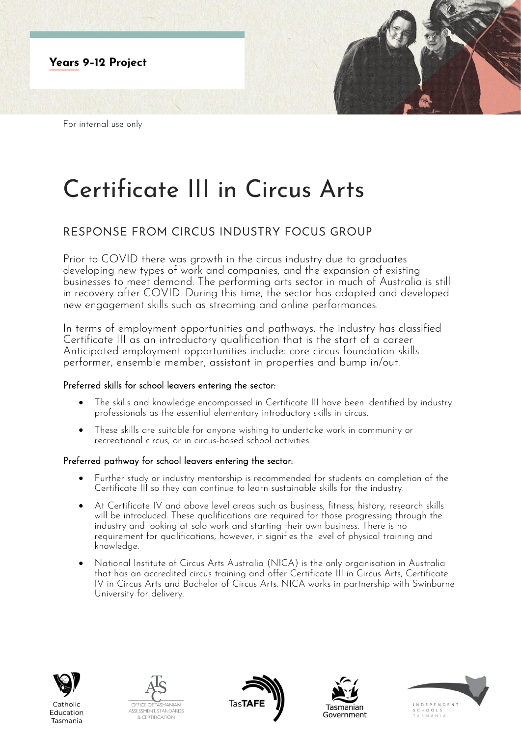

For internal use only

# Certificate III in Circus Arts

## RESPONSE FROM CIRCUS INDUSTRY FOCUS GROUP

Prior to COVID there was growth in the circus industry due to graduates developing new types of work and companies, and the expansion of existing businesses to meet demand. The performing arts sector in much of Australia is still in recovery after COVID. During this time, the sector has adapted and developed new engagement skills such as streaming and online performances.

In terms of employment opportunities and pathways, the industry has classified Certificate III as an introductory qualification that is the start of a career Anticipated employment opportunities include: core circus foundation skills performer, ensemble member, assistant in properties and bump in/out.

### Preferred skills for school leavers entering the sector:

- The skills and knowledge encompassed in Certificate III have been identified by industry professionals as the essential elementary introductory skills in circus.
- These skills are suitable for anyone wishing to undertake work in community or recreational circus, or in circus-based school activities.

### Preferred pathway for school leavers entering the sector:

- Further study or industry mentorship is recommended for students on completion of the Certificate III so they can continue to learn sustainable skills for the industry.
- At Certificate IV and above level areas such as business, fitness, history, research skills will be introduced. These qualifications are required for those progressing through the industry and looking at solo work and starting their own business. There is no requirement for qualifications, however, it signifies the level of physical training and knowledge.
- National Institute of Circus Arts Australia (NICA) is the only organisation in Australia that has an accredited circus training and offer Certificate III in Circus Arts, Certificate IV in Circus Arts and Bachelor of Circus Arts. NICA works in partnership with Swinburne University for delivery.



Tasmania